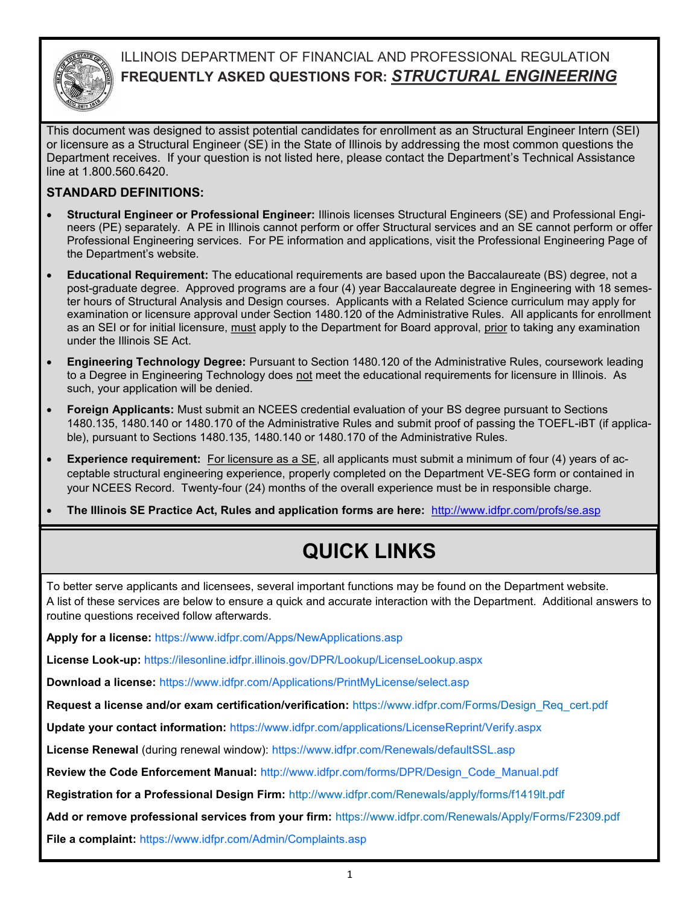

## ILLINOIS DEPARTMENT OF FINANCIAL AND PROFESSIONAL REGULATION **FREQUENTLY ASKED QUESTIONS FOR:** *STRUCTURAL ENGINEERING*

This document was designed to assist potential candidates for enrollment as an Structural Engineer Intern (SEI) or licensure as a Structural Engineer (SE) in the State of Illinois by addressing the most common questions the Department receives. If your question is not listed here, please contact the Department's Technical Assistance line at 1.800.560.6420.

### **STANDARD DEFINITIONS:**

- **Structural Engineer or Professional Engineer:** Illinois licenses Structural Engineers (SE) and Professional Engineers (PE) separately. A PE in Illinois cannot perform or offer Structural services and an SE cannot perform or offer Professional Engineering services. For PE information and applications, visit the Professional Engineering Page of the Department's website.
- **Educational Requirement:** The educational requirements are based upon the Baccalaureate (BS) degree, not a post-graduate degree. Approved programs are a four (4) year Baccalaureate degree in Engineering with 18 semester hours of Structural Analysis and Design courses. Applicants with a Related Science curriculum may apply for examination or licensure approval under Section 1480.120 of the Administrative Rules. All applicants for enrollment as an SEI or for initial licensure, must apply to the Department for Board approval, prior to taking any examination under the Illinois SE Act.
- **Engineering Technology Degree:** Pursuant to Section 1480.120 of the Administrative Rules, coursework leading to a Degree in Engineering Technology does not meet the educational requirements for licensure in Illinois. As such, your application will be denied.
- **Foreign Applicants:** Must submit an NCEES credential evaluation of your BS degree pursuant to Sections 1480.135, 1480.140 or 1480.170 of the Administrative Rules and submit proof of passing the TOEFL-iBT (if applicable), pursuant to Sections 1480.135, 1480.140 or 1480.170 of the Administrative Rules.
- **Experience requirement:** For licensure as a SE, all applicants must submit a minimum of four (4) years of acceptable structural engineering experience, properly completed on the Department VE-SEG form or contained in your NCEES Record. Twenty-four (24) months of the overall experience must be in responsible charge.
- **The Illinois SE Practice Act, Rules and application forms are here:** http://www.idfpr.com/profs/se.asp

# **QUICK LINKS**

To better serve applicants and licensees, several important functions may be found on the Department website. A list of these services are below to ensure a quick and accurate interaction with the Department. Additional answers to routine questions received follow afterwards.

**Apply for a license:** https://www.idfpr.com/Apps/NewApplications.asp

**License Look-up:** https://ilesonline.idfpr.illinois.gov/DPR/Lookup/LicenseLookup.aspx

**Download a license:** https://www.idfpr.com/Applications/PrintMyLicense/select.asp

**Request a license and/or exam certification/verification:** https://www.idfpr.com/Forms/Design\_Req\_cert.pdf

**Update your contact information:** https://www.idfpr.com/applications/LicenseReprint/Verify.aspx

**License Renewal** (during renewal window): https://www.idfpr.com/Renewals/defaultSSL.asp

**Review the Code Enforcement Manual:** http://www.idfpr.com/forms/DPR/Design\_Code\_Manual.pdf

**Registration for a Professional Design Firm:** <http://www.idfpr.com/Renewals/apply/forms/f1419lt.pdf>

**Add or remove professional services from your firm:** https://www.idfpr.com/Renewals/Apply/Forms/F2309.pdf

**File a complaint:** https://www.idfpr.com/Admin/Complaints.asp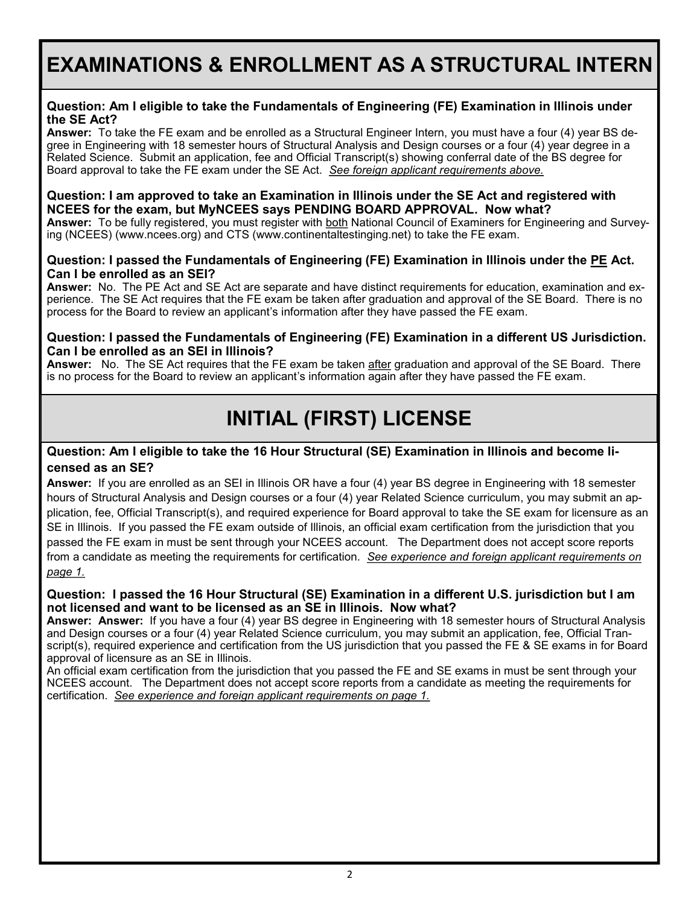## **EXAMINATIONS & ENROLLMENT AS A STRUCTURAL INTERN**

### **Question: Am I eligible to take the Fundamentals of Engineering (FE) Examination in Illinois under the SE Act?**

**Answer:** To take the FE exam and be enrolled as a Structural Engineer Intern, you must have a four (4) year BS degree in Engineering with 18 semester hours of Structural Analysis and Design courses or a four (4) year degree in a Related Science. Submit an application, fee and Official Transcript(s) showing conferral date of the BS degree for Board approval to take the FE exam under the SE Act. *See foreign applicant requirements above.*

#### **Question: I am approved to take an Examination in Illinois under the SE Act and registered with NCEES for the exam, but MyNCEES says PENDING BOARD APPROVAL. Now what?**

**Answer:** To be fully registered, you must register with both National Council of Examiners for Engineering and Surveying (NCEES) (www.ncees.org) and CTS (www.continentaltestinging.net) to take the FE exam.

### **Question: I passed the Fundamentals of Engineering (FE) Examination in Illinois under the PE Act. Can I be enrolled as an SEI?**

**Answer:** No. The PE Act and SE Act are separate and have distinct requirements for education, examination and experience. The SE Act requires that the FE exam be taken after graduation and approval of the SE Board. There is no process for the Board to review an applicant's information after they have passed the FE exam.

### **Question: I passed the Fundamentals of Engineering (FE) Examination in a different US Jurisdiction. Can I be enrolled as an SEI in Illinois?**

**Answer:** No. The SE Act requires that the FE exam be taken after graduation and approval of the SE Board. There is no process for the Board to review an applicant's information again after they have passed the FE exam.

# **INITIAL (FIRST) LICENSE**

### **Question: Am I eligible to take the 16 Hour Structural (SE) Examination in Illinois and become licensed as an SE?**

**Answer:** If you are enrolled as an SEI in Illinois OR have a four (4) year BS degree in Engineering with 18 semester hours of Structural Analysis and Design courses or a four (4) year Related Science curriculum, you may submit an application, fee, Official Transcript(s), and required experience for Board approval to take the SE exam for licensure as an SE in Illinois. If you passed the FE exam outside of Illinois, an official exam certification from the jurisdiction that you passed the FE exam in must be sent through your NCEES account. The Department does not accept score reports from a candidate as meeting the requirements for certification. *See experience and foreign applicant requirements on page 1.*

### **Question: I passed the 16 Hour Structural (SE) Examination in a different U.S. jurisdiction but I am not licensed and want to be licensed as an SE in Illinois. Now what?**

**Answer: Answer:** If you have a four (4) year BS degree in Engineering with 18 semester hours of Structural Analysis and Design courses or a four (4) year Related Science curriculum, you may submit an application, fee, Official Transcript(s), required experience and certification from the US jurisdiction that you passed the FE & SE exams in for Board approval of licensure as an SE in Illinois.

An official exam certification from the jurisdiction that you passed the FE and SE exams in must be sent through your NCEES account. The Department does not accept score reports from a candidate as meeting the requirements for certification. *See experience and foreign applicant requirements on page 1.*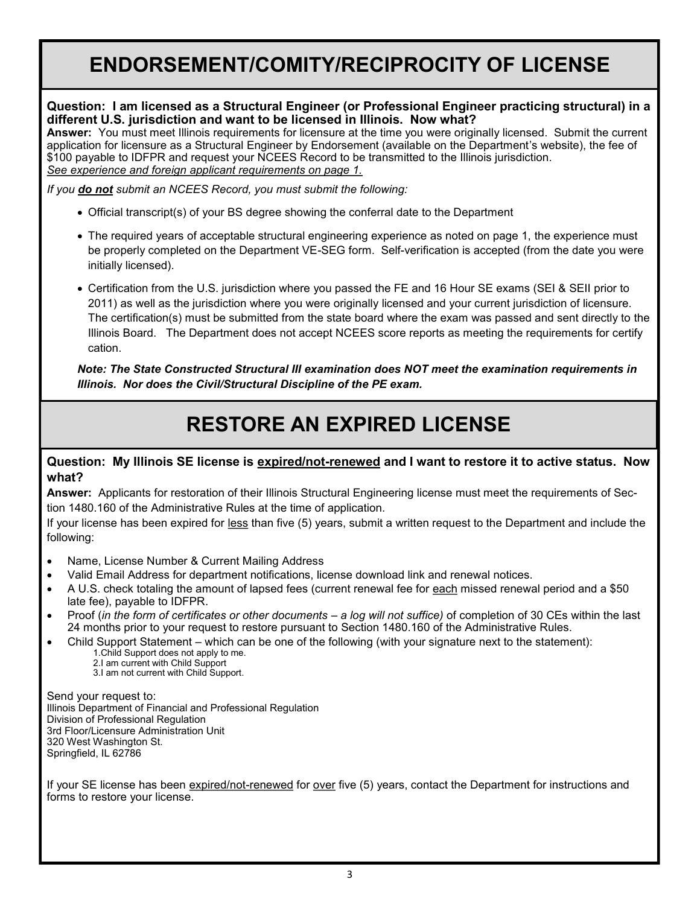## **ENDORSEMENT/COMITY/RECIPROCITY OF LICENSE**

### **Question: I am licensed as a Structural Engineer (or Professional Engineer practicing structural) in a different U.S. jurisdiction and want to be licensed in Illinois. Now what?**

**Answer:** You must meet Illinois requirements for licensure at the time you were originally licensed. Submit the current application for licensure as a Structural Engineer by Endorsement (available on the Department's website), the fee of \$100 payable to IDFPR and request your NCEES Record to be transmitted to the Illinois jurisdiction. *See experience and foreign applicant requirements on page 1.*

*If you do not submit an NCEES Record, you must submit the following:*

- Official transcript(s) of your BS degree showing the conferral date to the Department
- The required years of acceptable structural engineering experience as noted on page 1, the experience must be properly completed on the Department VE-SEG form. Self-verification is accepted (from the date you were initially licensed).
- Certification from the U.S. jurisdiction where you passed the FE and 16 Hour SE exams (SEI & SEII prior to 2011) as well as the jurisdiction where you were originally licensed and your current jurisdiction of licensure. The certification(s) must be submitted from the state board where the exam was passed and sent directly to the Illinois Board. The Department does not accept NCEES score reports as meeting the requirements for certify cation.

*Note: The State Constructed Structural III examination does NOT meet the examination requirements in Illinois. Nor does the Civil/Structural Discipline of the PE exam.* 

# **RESTORE AN EXPIRED LICENSE**

### **Question: My Illinois SE license is expired/not-renewed and I want to restore it to active status. Now what?**

**Answer:** Applicants for restoration of their Illinois Structural Engineering license must meet the requirements of Section 1480.160 of the Administrative Rules at the time of application.

If your license has been expired for less than five (5) years, submit a written request to the Department and include the following:

- Name, License Number & Current Mailing Address
- Valid Email Address for department notifications, license download link and renewal notices.
- A U.S. check totaling the amount of lapsed fees (current renewal fee for each missed renewal period and a \$50 late fee), payable to IDFPR.
- Proof (*in the form of certificates or other documents – a log will not suffice)* of completion of 30 CEs within the last 24 months prior to your request to restore pursuant to Section 1480.160 of the Administrative Rules.
- Child Support Statement which can be one of the following (with your signature next to the statement):
	- 1.Child Support does not apply to me.
	- 2.I am current with Child Support 3.I am not current with Child Support.

Send your request to: Illinois Department of Financial and Professional Regulation Division of Professional Regulation 3rd Floor/Licensure Administration Unit 320 West Washington St. Springfield, IL 62786

If your SE license has been expired/not-renewed for over five (5) years, contact the Department for instructions and forms to restore your license.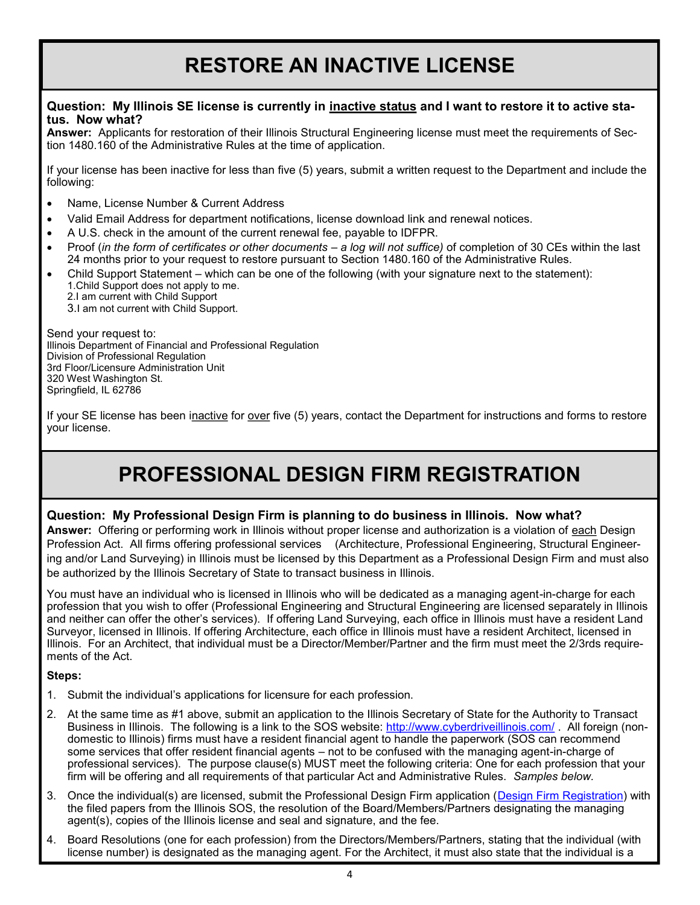# **RESTORE AN INACTIVE LICENSE**

### **Question: My Illinois SE license is currently in inactive status and I want to restore it to active status. Now what?**

**Answer:** Applicants for restoration of their Illinois Structural Engineering license must meet the requirements of Section 1480.160 of the Administrative Rules at the time of application.

If your license has been inactive for less than five (5) years, submit a written request to the Department and include the following:

- Name, License Number & Current Address
- Valid Email Address for department notifications, license download link and renewal notices.
- A U.S. check in the amount of the current renewal fee, payable to IDFPR.
- Proof (*in the form of certificates or other documents – a log will not suffice)* of completion of 30 CEs within the last 24 months prior to your request to restore pursuant to Section 1480.160 of the Administrative Rules.
- Child Support Statement which can be one of the following (with your signature next to the statement): 1.Child Support does not apply to me.
	- 2.I am current with Child Support 3.I am not current with Child Support.

Send your request to: Illinois Department of Financial and Professional Regulation Division of Professional Regulation 3rd Floor/Licensure Administration Unit 320 West Washington St. Springfield, IL 62786

If your SE license has been inactive for over five (5) years, contact the Department for instructions and forms to restore your license.

## **PROFESSIONAL DESIGN FIRM REGISTRATION**

### **Question: My Professional Design Firm is planning to do business in Illinois. Now what?**

**Answer:** Offering or performing work in Illinois without proper license and authorization is a violation of each Design Profession Act. All firms offering professional services (Architecture, Professional Engineering, Structural Engineering and/or Land Surveying) in Illinois must be licensed by this Department as a Professional Design Firm and must also be authorized by the Illinois Secretary of State to transact business in Illinois.

You must have an individual who is licensed in Illinois who will be dedicated as a managing agent-in-charge for each profession that you wish to offer (Professional Engineering and Structural Engineering are licensed separately in Illinois and neither can offer the other's services). If offering Land Surveying, each office in Illinois must have a resident Land Surveyor, licensed in Illinois. If offering Architecture, each office in Illinois must have a resident Architect, licensed in Illinois. For an Architect, that individual must be a Director/Member/Partner and the firm must meet the 2/3rds requirements of the Act.

#### **Steps:**

- 1. Submit the individual's applications for licensure for each profession.
- 2. At the same time as #1 above, submit an application to the Illinois Secretary of State for the Authority to Transact Business in Illinois. The following is a link to the SOS website: <http://www.cyberdriveillinois.com/> . All foreign (nondomestic to Illinois) firms must have a resident financial agent to handle the paperwork (SOS can recommend some services that offer resident financial agents – not to be confused with the managing agent-in-charge of professional services). The purpose clause(s) MUST meet the following criteria: One for each profession that your firm will be offering and all requirements of that particular Act and Administrative Rules. *Samples below.*
- 3. Once the individual(s) are licensed, submit the Professional Design Firm application ([Design Firm Registration\)](http://www.idfpr.com/Renewals/apply/forms/f1419lt.pdf) with the filed papers from the Illinois SOS, the resolution of the Board/Members/Partners designating the managing agent(s), copies of the Illinois license and seal and signature, and the fee.
- 4. Board Resolutions (one for each profession) from the Directors/Members/Partners, stating that the individual (with license number) is designated as the managing agent. For the Architect, it must also state that the individual is a